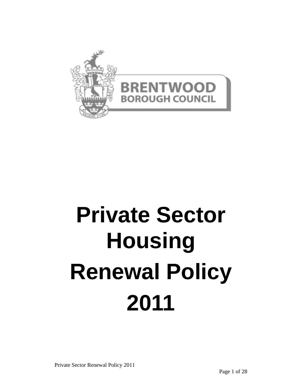

# **Private Sector Housing Renewal Policy 2011**

Private Sector Renewal Policy 2011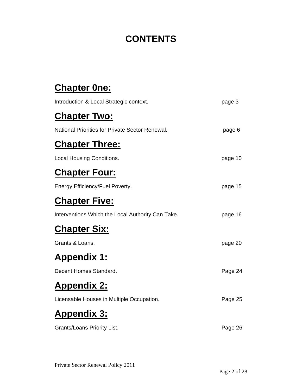# **CONTENTS**

# **Chapter 0ne:**

| Introduction & Local Strategic context.           | page 3  |
|---------------------------------------------------|---------|
| <b>Chapter Two:</b>                               |         |
| National Priorities for Private Sector Renewal.   | page 6  |
| <b>Chapter Three:</b>                             |         |
| <b>Local Housing Conditions.</b>                  | page 10 |
| <b>Chapter Four:</b>                              |         |
| Energy Efficiency/Fuel Poverty.                   | page 15 |
| <b>Chapter Five:</b>                              |         |
| Interventions Which the Local Authority Can Take. | page 16 |
| <b>Chapter Six:</b>                               |         |
| Grants & Loans.                                   | page 20 |
| <b>Appendix 1:</b>                                |         |
| Decent Homes Standard.                            | Page 24 |
| <u> Appendix 2:</u>                               |         |
| Licensable Houses in Multiple Occupation.         | Page 25 |
| <b>Appendix 3:</b>                                |         |
| Grants/Loans Priority List.                       | Page 26 |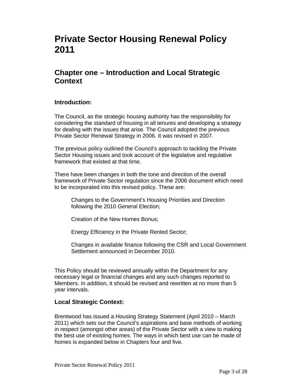# **Private Sector Housing Renewal Policy 2011**

## **Chapter one – Introduction and Local Strategic Context**

#### **Introduction:**

The Council, as the strategic housing authority has the responsibility for considering the standard of housing in all tenures and developing a strategy for dealing with the issues that arise. The Council adopted the previous Private Sector Renewal Strategy in 2006. It was revised in 2007.

The previous policy outlined the Council's approach to tackling the Private Sector Housing issues and took account of the legislative and regulative framework that existed at that time.

There have been changes in both the tone and direction of the overall framework of Private Sector regulation since the 2006 document which need to be incorporated into this revised policy. These are:

Changes to the Government's Housing Priorities and Direction following the 2010 General Election;

Creation of the New Homes Bonus;

Energy Efficiency in the Private Rented Sector;

Changes in available finance following the CSR and Local Government Settlement announced in December 2010.

This Policy should be reviewed annually within the Department for any necessary legal or financial changes and any such changes reported to Members. In addition, it should be revised and rewritten at no more than 5 year intervals.

#### **Local Strategic Context:**

Brentwood has issued a Housing Strategy Statement (April 2010 – March 2011) which sets out the Council's aspirations and base methods of working in respect (amongst other areas) of the Private Sector with a view to making the best use of existing homes. The ways in which best use can be made of homes is expanded below in Chapters four and five.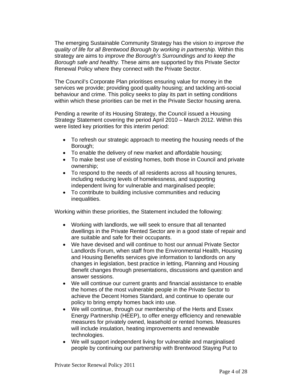The emerging Sustainable Community Strategy has the vision *to improve the quality of life for all Brentwood Borough by working in partnership.* Within this strategy are aims to *improve the Borough's Surroundings and to keep the Borough safe and healthy.* These aims are supported by this Private Sector Renewal Policy where they connect with the Private Sector.

The Council's Corporate Plan prioritises ensuring value for money in the services we provide; providing good quality housing; and tackling anti-social behaviour and crime. This policy seeks to play its part in setting conditions within which these priorities can be met in the Private Sector housing arena.

Pending a rewrite of its Housing Strategy, the Council issued a Housing Strategy Statement covering the period April 2010 – March 2012. Within this were listed key priorities for this interim period:

- To refresh our strategic approach to meeting the housing needs of the Borough;
- To enable the delivery of new market and affordable housing;
- To make best use of existing homes, both those in Council and private ownership;
- To respond to the needs of all residents across all housing tenures, including reducing levels of homelessness, and supporting independent living for vulnerable and marginalised people;
- To contribute to building inclusive communities and reducing inequalities.

Working within these priorities, the Statement included the following:

- Working with landlords, we will seek to ensure that all tenanted dwellings in the Private Rented Sector are in a good state of repair and are suitable and safe for their occupants.
- We have devised and will continue to host our annual Private Sector Landlords Forum, when staff from the Environmental Health, Housing and Housing Benefits services give information to landlords on any changes in legislation, best practice in letting, Planning and Housing Benefit changes through presentations, discussions and question and answer sessions.
- We will continue our current grants and financial assistance to enable the homes of the most vulnerable people in the Private Sector to achieve the Decent Homes Standard, and continue to operate our policy to bring empty homes back into use.
- We will continue, through our membership of the Herts and Essex Energy Partnership (HEEP), to offer energy efficiency and renewable measures for privately owned, leasehold or rented homes. Measures will include insulation, heating improvements and renewable technologies.
- We will support independent living for vulnerable and marginalised people by continuing our partnership with Brentwood Staying Put to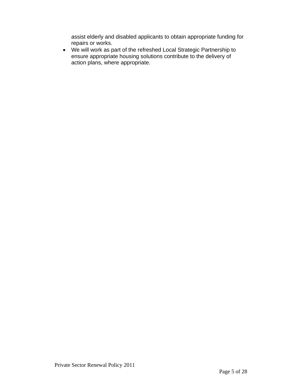assist elderly and disabled applicants to obtain appropriate funding for repairs or works.

• We will work as part of the refreshed Local Strategic Partnership to ensure appropriate housing solutions contribute to the delivery of action plans, where appropriate.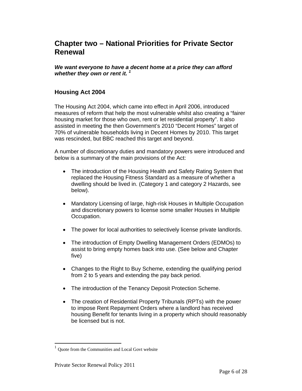## **Chapter two – National Priorities for Private Sector Renewal**

*We want everyone to have a decent home at a price they can afford whether they own or rent it. 1*

#### **Housing Act 2004**

The Housing Act 2004, which came into effect in April 2006, introduced measures of reform that help the most vulnerable whilst also creating a "fairer housing market for those who own, rent or let residential property". It also assisted in meeting the then Government's 2010 "Decent Homes" target of 70% of vulnerable households living in Decent Homes by 2010. This target was rescinded, but BBC reached this target and beyond.

A number of discretionary duties and mandatory powers were introduced and below is a summary of the main provisions of the Act:

- The introduction of the Housing Health and Safety Rating System that replaced the Housing Fitness Standard as a measure of whether a dwelling should be lived in. (Category 1 and category 2 Hazards, see below).
- Mandatory Licensing of large, high-risk Houses in Multiple Occupation and discretionary powers to license some smaller Houses in Multiple Occupation.
- The power for local authorities to selectively license private landlords.
- The introduction of Empty Dwelling Management Orders (EDMOs) to assist to bring empty homes back into use. (See below and Chapter five)
- Changes to the Right to Buy Scheme, extending the qualifying period from 2 to 5 years and extending the pay back period.
- The introduction of the Tenancy Deposit Protection Scheme.
- The creation of Residential Property Tribunals (RPTs) with the power to impose Rent Repayment Orders where a landlord has received housing Benefit for tenants living in a property which should reasonably be licensed but is not.

 $\overline{a}$ 

<sup>1</sup> Quote from the Communities and Local Govt website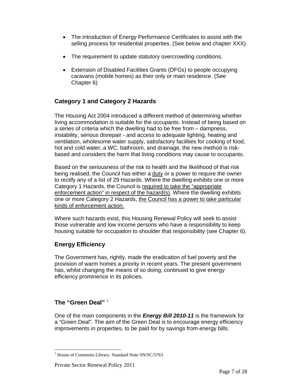- The introduction of Energy Performance Certificates to assist with the selling process for residential properties. (See below and chapter XXX)
- The requirement to update statutory overcrowding conditions.
- Extension of Disabled Facilities Grants (DFGs) to people occupying caravans (mobile homes) as their only or main residence. (See Chapter 6)

#### **Category 1 and Category 2 Hazards**

The Housing Act 2004 introduced a different method of determining whether living accommodation is suitable for the occupants. Instead of being based on a series of criteria which the dwelling had to be free from – dampness, instability, serious disrepair - and access to adequate lighting, heating and ventilation, wholesome water supply, satisfactory facilities for cooking of food, hot and cold water, a WC, bathroom, and drainage, the new method is riskbased and considers the harm that living conditions may cause to occupants.

Based on the seriousness of the risk to health and the likelihood of that risk being realised, the Council has either a duty or a power to require the owner to rectify any of a list of 29 Hazards. Where the dwelling exhibits one or more Category 1 Hazards, the Council is required to take the "appropriate enforcement action" in respect of the hazard(s). Where the dwelling exhibits one or more Category 2 Hazards, the Council has a power to take particular kinds of enforcement action.

Where such hazards exist, this Housing Renewal Policy will seek to assist those vulnerable and low income persons who have a responsibility to keep housing suitable for occupation to shoulder that responsibility (see Chapter 6).

#### **Energy Efficiency**

The Government has, rightly, made the eradication of fuel poverty and the provision of warm homes a priority in recent years. The present government has, whilst changing the means of so doing, continued to give energy efficiency prominence in its policies.

#### **The "Green Deal"** <sup>2</sup>

One of the main components in the *Energy Bill 2010-11* is the framework for a "Green Deal". The aim of the Green Deal is to encourage energy efficiency improvements in properties, to be paid for by savings from energy bills.

l <sup>2</sup> House of Commons Library. Standard Note SN/SC/5763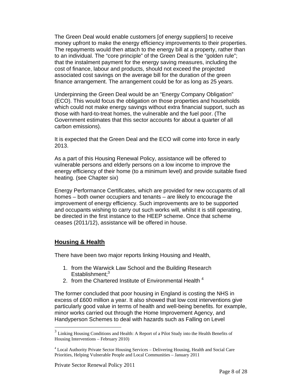The Green Deal would enable customers [of energy suppliers] to receive money upfront to make the energy efficiency improvements to their properties. The repayments would then attach to the energy bill at a property, rather than to an individual. The "core principle" of the Green Deal is the "golden rule"; that the instalment payment for the energy saving measures, including the cost of finance, labour and products, should not exceed the projected associated cost savings on the average bill for the duration of the green finance arrangement. The arrangement could be for as long as 25 years.

Underpinning the Green Deal would be an "Energy Company Obligation" (ECO). This would focus the obligation on those properties and households which could not make energy savings without extra financial support, such as those with hard-to-treat homes, the vulnerable and the fuel poor. (The Government estimates that this sector accounts for about a quarter of all carbon emissions).

It is expected that the Green Deal and the ECO will come into force in early 2013.

As a part of this Housing Renewal Policy, assistance will be offered to vulnerable persons and elderly persons on a low income to improve the energy efficiency of their home (to a minimum level) and provide suitable fixed heating. (see Chapter six)

Energy Performance Certificates, which are provided for new occupants of all homes – both owner occupiers and tenants – are likely to encourage the improvement of energy efficiency. Such improvements are to be supported and occupants wishing to carry out such works will, whilst it is still operating, be directed in the first instance to the HEEP scheme. Once that scheme ceases (2011/12), assistance will be offered in house.

#### **Housing & Health**

l

There have been two major reports linking Housing and Health,

- 1. from the Warwick Law School and the Building Research Establishment;<sup>3</sup>
- 2. from the Chartered Institute of Environmental Health<sup>4</sup>

The former concluded that poor housing in England is costing the NHS in excess of £600 million a year. It also showed that low cost interventions give particularly good value in terms of health and well-being benefits. for example, minor works carried out through the Home Improvement Agency, and Handyperson Schemes to deal with hazards such as Falling on Level

 $3$  Linking Housing Conditions and Health: A Report of a Pilot Study into the Health Benefits of Housing Interventions – February 2010)

<sup>&</sup>lt;sup>4</sup> Local Authority Private Sector Housing Services – Delivering Housing, Health and Social Care Priorities, Helping Vulnerable People and Local Communities – January 2011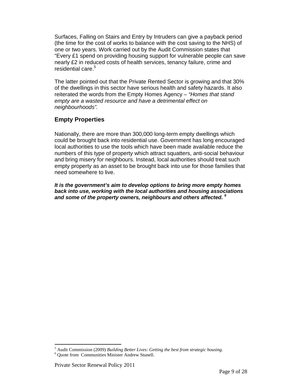Surfaces, Falling on Stairs and Entry by Intruders can give a payback period (the time for the cost of works to balance with the cost saving to the NHS) of one or two years. Work carried out by the Audit Commission states that "Every £1 spend on providing housing support for vulnerable people can save nearly £2 in reduced costs of health services, tenancy failure, crime and residential care.<sup>5</sup>

The latter pointed out that the Private Rented Sector is growing and that 30% of the dwellings in this sector have serious health and safety hazards. It also reiterated the words from the Empty Homes Agency *– "Homes that stand empty are a wasted resource and have a detrimental effect on neighbourhoods".*

#### **Empty Properties**

Nationally, there are more than 300,000 long-term empty dwellings which could be brought back into residential use. Government has long encouraged local authorities to use the tools which have been made available reduce the numbers of this type of property which attract squatters, anti-social behaviour and bring misery for neighbours. Instead, local authorities should treat such empty property as an asset to be brought back into use for those families that need somewhere to live.

*It is the government's aim to develop options to bring more empty homes back into use, working with the local authorities and housing associations and some of the property owners, neighbours and others affected. 6*

l <sup>5</sup> Audit Commission (2009) *Building Better Lives: Getting the best from strategic housing.*<br><sup>6</sup> Ougts from Communities Minister Andrew Stunell

Quote from Communities Minister Andrew Stunell.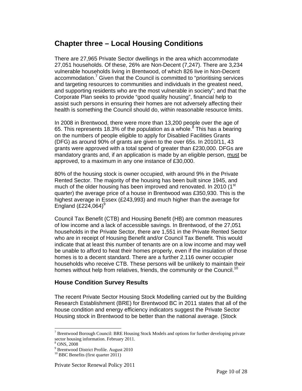# **Chapter three – Local Housing Conditions**

There are 27,965 Private Sector dwellings in the area which accommodate 27,051 households. Of these, 26% are Non-Decent (7,247). There are 3,234 vulnerable households living in Brentwood, of which 826 live in Non-Decent accommodation.<sup>7</sup> Given that the Council is committed to "prioritising services and targeting resources to communities and individuals in the greatest need, and supporting residents who are the most vulnerable in society"; and that the Corporate Plan seeks to provide "good quality housing", financial help to assist such persons in ensuring their homes are not adversely affecting their health is something the Council should do, within reasonable resource limits.

In 2008 in Brentwood, there were more than 13,200 people over the age of 65. This represents 18.3% of the population as a whole.<sup>8</sup> This has a bearing on the numbers of people eligible to apply for Disabled Facilities Grants (DFG) as around 90% of grants are given to the over 65s. In 2010/11, 43 grants were approved with a total spend of greater than £230,000. DFGs are mandatory grants and, if an application is made by an eligible person, must be approved, to a maximum in any one instance of £30,000.

80% of the housing stock is owner occupied, with around 9% in the Private Rented Sector. The majority of the housing has been built since 1945, and much of the older housing has been improved and renovated. In 2010 (1<sup>st</sup> quarter) the average price of a house in Brentwood was £350,930. This is the highest average in Essex (£243,993) and much higher than the average for England  $(E224,064)^9$ 

Council Tax Benefit (CTB) and Housing Benefit (HB) are common measures of low income and a lack of accessible savings. In Brentwood, of the 27,051 households in the Private Sector, there are 1,551 in the Private Rented Sector who are in receipt of Housing Benefit and/or Council Tax Benefit. This would indicate that at least this number of tenants are on a low income and may well be unable to afford to heat their homes properly, even if the insulation of those homes is to a decent standard. There are a further 2,116 owner occupier households who receive CTB. These persons will be unlikely to maintain their homes without help from relatives, friends, the community or the Council.<sup>10</sup>

#### **House Condition Survey Results**

The recent Private Sector Housing Stock Modelling carried out by the Building Research Establishment (BRE) for Brentwood BC in 2011 states that all of the house condition and energy efficiency indicators suggest the Private Sector Housing stock in Brentwood to be better than the national average. (Stock

 $\overline{a}$ 

<sup>&</sup>lt;sup>7</sup> Brentwood Borough Council: BRE Housing Stock Models and options for further developing private sector housing information. February 2011.

ONS, 2008

<sup>&</sup>lt;sup>9</sup> Brentwood District Profile. August 2010

 $10$  BBC Benefits (first quarter 2011)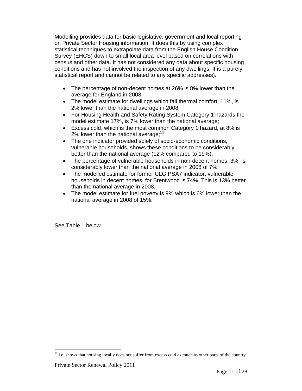Modelling provides data for basic legislative, government and local reporting on Private Sector Housing information. It does this by using complex statistical techniques to extrapolate data from the English House Condition Survey (EHCS) down to small local area level based on correlations with census and other data. It has not considered any data about specific housing conditions and has not involved the inspection of any dwellings. It is a purely statistical report and cannot be related to any specific addresses).

- The percentage of non-decent homes at 26% is 8% lower than the average for England in 2008;
- The model estimate for dwellings which fail thermal comfort, 11%, is 2% lower than the national average in 2008;
- For Housing Health and Safety Rating System Category 1 hazards the model estimate 17%, is 7% lower than the national average;
- Excess cold, which is the most common Category 1 hazard, at 8% is 2% lower than the national average; $11$
- The one indicator provided solely of socio-economic conditions, vulnerable households, shows these conditions to be considerably better than the national average (12% compared to 19%);
- The percentage of vulnerable households in non-decent homes, 3%, is considerably lower than the national average in 2008 of 7%;
- The modelled estimate for former CLG PSA7 indicator, vulnerable households in decent homes, for Brentwood is 74%. This is 13% better than the national average in 2008.
- The model estimate for fuel poverty is 9% which is 6% lower than the national average in 2008 of 15%.

See Table 1 below

l  $11$  i.e. shows that housing locally does not suffer from excess cold as much as other parts of the country.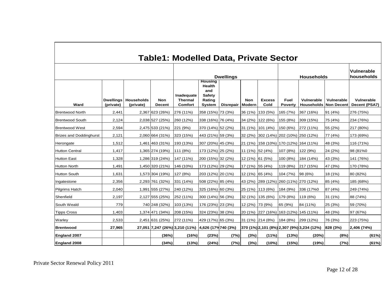|                                |                        |                                |                             | <b>Table1: Modelled Data, Private Sector</b><br><b>Dwellings</b> |                                                                             |                  |                      |                       | <b>Households</b>                     |                                            |                                 | <b>Vulnerable</b><br>households |
|--------------------------------|------------------------|--------------------------------|-----------------------------|------------------------------------------------------------------|-----------------------------------------------------------------------------|------------------|----------------------|-----------------------|---------------------------------------|--------------------------------------------|---------------------------------|---------------------------------|
| Ward                           | Dwellings<br>(private) | <b>Households</b><br>(private) | <b>Non</b><br><b>Decent</b> | Inadequate<br><b>Thermal</b><br><b>Comfort</b>                   | <b>Housing</b><br><b>Health</b><br>and<br><b>Safety</b><br>Rating<br>System | <b>Disrepair</b> | <b>Non</b><br>Modern | <b>Excess</b><br>Cold | Fuel<br><b>Poverty</b>                | Vulnerable<br><b>Households</b>            | Vulnerable<br><b>Non Decent</b> | Vulnerable<br>Decent (PSA7)     |
| <b>Brentwood North</b>         | 2,441                  |                                | 2,367 623 (26%)             | 276 (11%)                                                        | 358 (15%) 73 (3%)                                                           |                  |                      | 36 (1%) 133 (5%)      | 165 (7%)                              | 367 (16%)                                  | 91 (4%)                         | 276 (75%)                       |
| <b>Brentwood South</b>         | 2,124                  |                                | 2,038 527 (25%)             | 260 (12%)                                                        | 338 (16%) 76 (4%)                                                           |                  |                      | 34 (2%) 122 (6%)      | 155 (8%)                              | 309 (15%)                                  | 75 (4%)                         | 234 (76%)                       |
| <b>Brentwood West</b>          | 2,594                  |                                | 2,475 533 (21%)             | 221 (9%)                                                         | 370 (14%) 52 (2%)                                                           |                  |                      | 31 (1%) 101 (4%)      | 150 (6%)                              | $ 272(11\%)$                               | 55 (2%)                         | 217 (80%)                       |
| <b>Brizes and Doddinghurst</b> | 2,121                  |                                | 2,060 664 (31%)             | 323 (15%)                                                        | 443 (21%) 59 (3%)                                                           |                  |                      |                       | 32 (2%) 302 (14%) 202 (10%) 250 (12%) |                                            | 77 (4%)                         | 173 (69%)                       |
| Herongate                      | 1,512                  |                                | 1,461 463 (31%)             | 193 (13%)                                                        | 307 (20%) 45 (3%)                                                           |                  |                      |                       | 21 (1%) 158 (10%) 170 (12%) 164 (11%) |                                            | 48 (3%)                         | 116 (71%)                       |
| <b>Hutton Central</b>          | 1,417                  |                                | 1,365 274 (19%)             | 111 (8%)                                                         | 173 (12%) 25 (2%)                                                           |                  | 11 (1%) 52 (4%)      |                       | 107 (8%)                              | 122 (9%)                                   | 24 (2%)                         | 98 (81%0                        |
| <b>Hutton East</b>             | 1,328                  |                                | 1,286 319 (24%)             | 147 (11%)                                                        | 200 (15%) 32 (2%)                                                           |                  | 12 (1%) 61 (5%)      |                       | 100 (8%)                              | 184 (14%)                                  | 43 (3%)                         | 141 (76%)                       |
| <b>Hutton North</b>            | 1,491                  |                                | 1,450 320 (21%)             | 146 (10%)                                                        | 173 (12%) 29 (2%)                                                           |                  | 17 (1%) 55 (4%)      |                       | 119 (8%)                              | 217(15%)                                   | 47 (3%)                         | 170 (78%)                       |
| <b>Hutton South</b>            | 1,631                  |                                | 1,573 304 (19%)             | 127 (8%)                                                         | 203 (12%) 20 (1%)                                                           |                  | $12(1\%)$ 65 (4%)    |                       | 104 (7%)                              | 98 (6%)                                    | 18 (1%)                         | 80 (82%)                        |
| Ingatestone                    | 2,356                  |                                | 2,293 761 (32%)             | 331 (14%)                                                        | 508 (22%) 85 (4%)                                                           |                  |                      |                       | 43 (2%) 289 (12%) 260 (11%) 270 (12%) |                                            | 85 (4%)                         | 185 (68%)                       |
| <b>Pilgrims Hatch</b>          | 2,040                  |                                | 1,991 555 (27%)             | 240 (12%)                                                        | 325 (16%) 60 (3%)                                                           |                  |                      | 25 (1%) 113 (6%)      | 184 (9%)                              | 336 (17%0                                  | 87 (4%)                         | 249 (74%)                       |
| Shenfield                      | 2,197                  |                                | 2,127 555 (25%)             | 252 (11%)                                                        | 300 (14%) 56 (3%)                                                           |                  |                      | 32 (1%) 135 (6%)      | 179 (8%)                              | 119 (6%)                                   | 31 (1%)                         | 88 (74%)                        |
| South Weald                    | 779                    |                                | 740 248 (32%)               | 103 (13%)                                                        | 176 (23%) 23 (3%)                                                           |                  | 12 (2%) 73 (9%)      |                       | 65 (9%)                               | 84 (11%)                                   | 25 (3%)                         | 59 (70%)                        |
| <b>Tipps Cross</b>             | 1,403                  |                                | 1,374 471 (34%)             | 208 (15%)                                                        | 324 (23%) 38 (3%)                                                           |                  |                      |                       | 20 (1%) 227 (16%) 163 (12%) 145 (11%) |                                            | 48 (3%)                         | 97 (67%)                        |
| Warley                         | 2,533                  |                                | 2,451 631 (25%)             | $ 272(11\%)$                                                     | 429 (17%) 65 (3%)                                                           |                  |                      | 31 (1%)  214 (8%)     | 184 (8%)                              | 299 (12%)                                  | 76 (3%)                         | 223 (75%)                       |
| <b>Brentwood</b>               | 27,965                 |                                |                             | 27,051 7,247 (26%) 3,210 (11%)                                   | $ 4,626(17\sqrt{740(3\%)}$                                                  |                  |                      |                       |                                       | 370 (1%) 2,101 (8%) 2,307 (9%) 3,234 (12%) | 828 (3%)                        | 2,406 (74%)                     |
| England 2007                   |                        |                                | (36%)                       | (16%)                                                            | (23%)                                                                       | (7%)             | (3%)                 | $(11\%)$              | (13%)                                 | (20%)                                      | (8%)                            | (61%)                           |
| England 2008                   |                        |                                | (34%)                       | (13%)                                                            | (24%)                                                                       | (7%)             | (3%)                 | (10%)                 | (15%)                                 | (19%)                                      | (7%)                            | (61%)                           |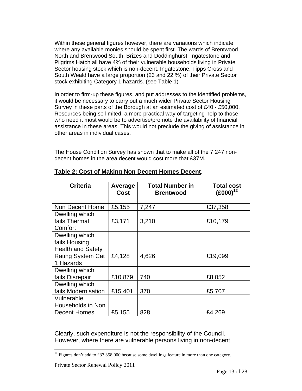Within these general figures however, there are variations which indicate where any available monies should be spent first. The wards of Brentwood North and Brentwood South, Brizes and Doddinghurst, Ingatestone and Pilgrims Hatch all have 4% of their vulnerable households living in Private Sector housing stock which is non-decent. Ingatestone, Tipps Cross and South Weald have a large proportion (23 and 22 %) of their Private Sector stock exhibiting Category 1 hazards. (see Table 1)

In order to firm-up these figures, and put addresses to the identified problems, it would be necessary to carry out a much wider Private Sector Housing Survey in these parts of the Borough at an estimated cost of £40 - £50,000. Resources being so limited, a more practical way of targeting help to those who need it most would be to advertise/promote the availability of financial assistance in these areas. This would not preclude the giving of assistance in other areas in individual cases.

The House Condition Survey has shown that to make all of the 7,247 nondecent homes in the area decent would cost more that £37M.

| <b>Criteria</b>          | <b>Average</b><br>Cost | <b>Total Number in</b><br><b>Brentwood</b> | <b>Total cost</b><br>$(£000)^{12}$ |
|--------------------------|------------------------|--------------------------------------------|------------------------------------|
|                          |                        |                                            |                                    |
| Non Decent Home          | £5,155                 | 7,247                                      | £37,358                            |
| Dwelling which           |                        |                                            |                                    |
| fails Thermal            | £3,171                 | 3,210                                      | £10,179                            |
| Comfort                  |                        |                                            |                                    |
| Dwelling which           |                        |                                            |                                    |
| fails Housing            |                        |                                            |                                    |
| <b>Health and Safety</b> |                        |                                            |                                    |
| <b>Rating System Cat</b> | £4,128                 | 4,626                                      | £19,099                            |
| 1 Hazards                |                        |                                            |                                    |
| Dwelling which           |                        |                                            |                                    |
| fails Disrepair          | £10,879                | 740                                        | £8,052                             |
| Dwelling which           |                        |                                            |                                    |
| fails Modernisation      | £15,401                | 370                                        | £5,707                             |
| Vulnerable               |                        |                                            |                                    |
| Households in Non        |                        |                                            |                                    |
| <b>Decent Homes</b>      | £5,155                 | 828                                        | £4,269                             |

#### **Table 2: Cost of Making Non Decent Homes Decent**.

Clearly, such expenditure is not the responsibility of the Council. However, where there are vulnerable persons living in non-decent

 $\overline{a}$ 

<sup>&</sup>lt;sup>12</sup> Figures don't add to £37,358,000 because some dwellings feature in more than one category.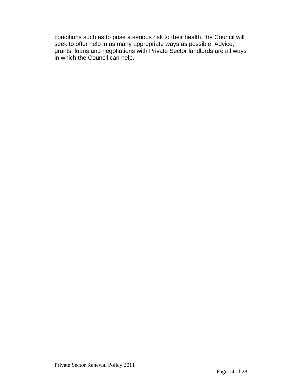conditions such as to pose a serious risk to their health, the Council will seek to offer help in as many appropriate ways as possible. Advice, grants, loans and negotiations with Private Sector landlords are all ways in which the Council can help.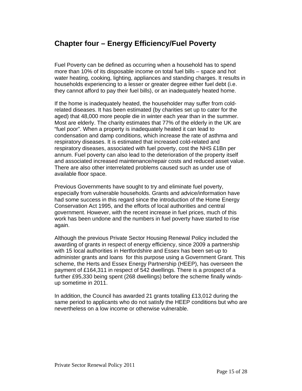## **Chapter four – Energy Efficiency/Fuel Poverty**

Fuel Poverty can be defined as occurring when a household has to spend more than 10% of its disposable income on total fuel bills – space and hot water heating, cooking, lighting, appliances and standing charges. It results in households experiencing to a lesser or greater degree either fuel debt (i.e. they cannot afford to pay their fuel bills), or an inadequately heated home.

If the home is inadequately heated, the householder may suffer from coldrelated diseases. It has been estimated (by charities set up to cater for the aged) that 48,000 more people die in winter each year than in the summer. Most are elderly. The charity estimates that 77% of the elderly in the UK are "fuel poor". When a property is inadequately heated it can lead to condensation and damp conditions, which increase the rate of asthma and respiratory diseases. It is estimated that increased cold-related and respiratory diseases, associated with fuel poverty, cost the NHS £1Bn per annum. Fuel poverty can also lead to the deterioration of the property itself and associated increased maintenance/repair costs and reduced asset value. There are also other interrelated problems caused such as under use of available floor space.

Previous Governments have sought to try and eliminate fuel poverty, especially from vulnerable households. Grants and advice/information have had some success in this regard since the introduction of the Home Energy Conservation Act 1995, and the efforts of local authorities and central government. However, with the recent increase in fuel prices, much of this work has been undone and the numbers in fuel poverty have started to rise again.

Although the previous Private Sector Housing Renewal Policy included the awarding of grants in respect of energy efficiency, since 2009 a partnership with 15 local authorities in Hertfordshire and Essex has been set-up to administer grants and loans for this purpose using a Government Grant. This scheme, the Herts and Essex Energy Partnership (HEEP), has overseen the payment of £164,311 in respect of 542 dwellings. There is a prospect of a further £95,330 being spent (268 dwellings) before the scheme finally windsup sometime in 2011.

In addition, the Council has awarded 21 grants totalling £13,012 during the same period to applicants who do not satisfy the HEEP conditions but who are nevertheless on a low income or otherwise vulnerable.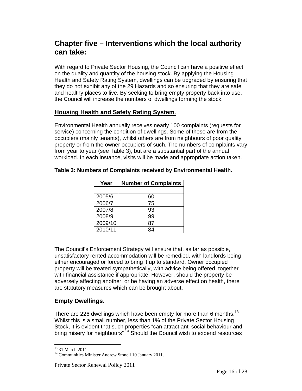## **Chapter five – Interventions which the local authority can take:**

With regard to Private Sector Housing, the Council can have a positive effect on the quality and quantity of the housing stock. By applying the Housing Health and Safety Rating System, dwellings can be upgraded by ensuring that they do not exhibit any of the 29 Hazards and so ensuring that they are safe and healthy places to live. By seeking to bring empty property back into use, the Council will increase the numbers of dwellings forming the stock.

#### **Housing Health and Safety Rating System**.

Environmental Health annually receives nearly 100 complaints (requests for service) concerning the condition of dwellings. Some of these are from the occupiers (mainly tenants), whilst others are from neighbours of poor quality property or from the owner occupiers of such. The numbers of complaints vary from year to year (see Table 3), but are a substantial part of the annual workload. In each instance, visits will be made and appropriate action taken.

| Year    | <b>Number of Complaints</b> |  |  |  |  |  |
|---------|-----------------------------|--|--|--|--|--|
|         |                             |  |  |  |  |  |
| 2005/6  | 60                          |  |  |  |  |  |
| 2006/7  | 75                          |  |  |  |  |  |
| 2007/8  | 93                          |  |  |  |  |  |
| 2008/9  | 99                          |  |  |  |  |  |
| 2009/10 | 87                          |  |  |  |  |  |
| 2010/11 |                             |  |  |  |  |  |

#### **Table 3: Numbers of Complaints received by Environmental Health.**

The Council's Enforcement Strategy will ensure that, as far as possible, unsatisfactory rented accommodation will be remedied, with landlords being either encouraged or forced to bring it up to standard. Owner occupied property will be treated sympathetically, with advice being offered, together with financial assistance if appropriate. However, should the property be adversely affecting another, or be having an adverse effect on health, there are statutory measures which can be brought about.

#### **Empty Dwellings**.

There are 226 dwellings which have been empty for more than 6 months.<sup>13</sup> Whilst this is a small number, less than 1% of the Private Sector Housing Stock, it is evident that such properties "can attract anti social behaviour and bring misery for neighbours" <sup>14</sup> Should the Council wish to expend resources

 $\overline{a}$ <sup>13</sup> 31 March 2011

<sup>&</sup>lt;sup>14</sup> Communities Minister Andrew Stonell 10 January 2011.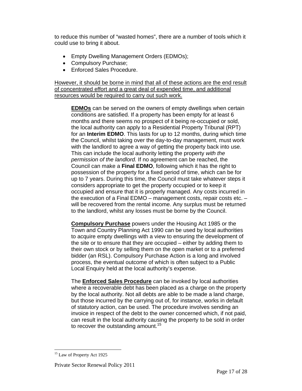to reduce this number of "wasted homes", there are a number of tools which it could use to bring it about.

- Empty Dwelling Management Orders (EDMOs);
- Compulsory Purchase;
- Enforced Sales Procedure.

However, it should be borne in mind that all of these actions are the end result of concentrated effort and a great deal of expended time, and additional resources would be required to carry out such work.

**EDMOs** can be served on the owners of empty dwellings when certain conditions are satisfied. If a property has been empty for at least 6 months and there seems no prospect of it being re-occupied or sold, the local authority can apply to a Residential Property Tribunal (RPT) for an **Interim EDMO**. This lasts for up to 12 months, during which time the Council, whilst taking over the day-to-day management, must work with the landlord to agree a way of getting the property back into use. This can include the local authority letting the property *with the permission of the landlord.* If no agreement can be reached, the Council can make a **Final EDMO**, following which it has the right to possession of the property for a fixed period of time, which can be for up to 7 years. During this time, the Council must take whatever steps it considers appropriate to get the property occupied or to keep it occupied and ensure that it is properly managed. Any costs incurred in the execution of a Final EDMO – management costs, repair costs etc. – will be recovered from the rental income. Any surplus must be returned to the landlord, whilst any losses must be borne by the Council.

**Compulsory Purchase** powers under the Housing Act 1985 or the Town and Country Planning Act 1990 can be used by local authorities to acquire empty dwellings with a view to ensuring the development of the site or to ensure that they are occupied – either by adding them to their own stock or by selling them on the open market or to a preferred bidder (an RSL). Compulsory Purchase Action is a long and involved process, the eventual outcome of which is often subject to a Public Local Enquiry held at the local authority's expense.

The **Enforced Sales Procedure** can be invoked by local authorities where a recoverable debt has been placed as a charge on the property by the local authority. Not all debts are able to be made a land charge, but those incurred by the carrying out of, for instance, works in default of statutory action, can be used. The procedure involves sending an invoice in respect of the debt to the owner concerned which, if not paid, can result in the local authority causing the property to be sold in order to recover the outstanding amount.<sup>15</sup>

 $\overline{a}$ <sup>15</sup> Law of Property Act 1925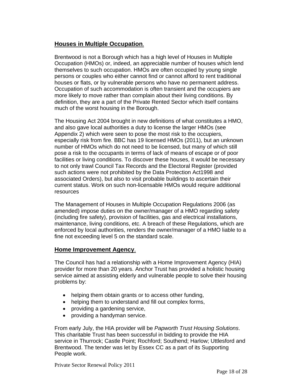#### **Houses in Multiple Occupation**.

Brentwood is not a Borough which has a high level of Houses in Multiple Occupation (HMOs) or, indeed, an appreciable number of houses which lend themselves to such occupation. HMOs are often occupied by young single persons or couples who either cannot find or cannot afford to rent traditional houses or flats, or by vulnerable persons who have no permanent address. Occupation of such accommodation is often transient and the occupiers are more likely to move rather than complain about their living conditions. By definition, they are a part of the Private Rented Sector which itself contains much of the worst housing in the Borough.

The Housing Act 2004 brought in new definitions of what constitutes a HMO, and also gave local authorities a duty to license the larger HMOs (see Appendix 2) which were seen to pose the most risk to the occupiers, especially risk from fire. BBC has 19 licensed HMOs (2011), but an unknown number of HMOs which do not need to be licensed, but many of which still pose a risk to the occupants in terms of lack of means of escape or of poor facilities or living conditions. To discover these houses, it would be necessary to not only trawl Council Tax Records and the Electoral Register (provided such actions were not prohibited by the Data Protection Act1998 and associated Orders), but also to visit probable buildings to ascertain their current status. Work on such non-licensable HMOs would require additional resources

The Management of Houses in Multiple Occupation Regulations 2006 (as amended) impose duties on the owner/manager of a HMO regarding safety (including fire safety), provision of facilities, gas and electrical installations, maintenance, living conditions, etc. A breach of these Regulations, which are enforced by local authorities, renders the owner/manager of a HMO liable to a fine not exceeding level 5 on the standard scale.

#### **Home Improvement Agency**.

The Council has had a relationship with a Home Improvement Agency (HIA) provider for more than 20 years. Anchor Trust has provided a holistic housing service aimed at assisting elderly and vulnerable people to solve their housing problems by:

- helping them obtain grants or to access other funding,
- helping them to understand and fill out complex forms,
- providing a gardening service,
- providing a handyman service.

From early July, the HIA provider will be *Papworth Trust Housing Solutions*. This charitable Trust has been successful in bidding to provide the HIA service in Thurrock; Castle Point; Rochford; Southend; Harlow; Uttlesford and Brentwood. The tender was let by Essex CC as a part of its Supporting People work.

Private Sector Renewal Policy 2011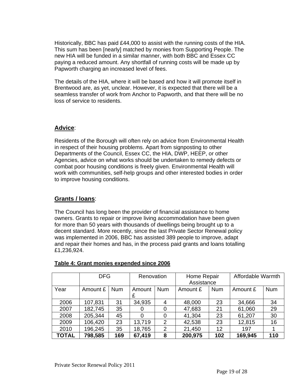Historically, BBC has paid £44,000 to assist with the running costs of the HIA. This sum has been [nearly] matched by monies from Supporting People. The new HIA will be funded in a similar manner, with both BBC and Essex CC paying a reduced amount. Any shortfall of running costs will be made up by Papworth charging an increased level of fees.

The details of the HIA, where it will be based and how it will promote itself in Brentwood are, as yet, unclear. However, it is expected that there will be a seamless transfer of work from Anchor to Papworth, and that there will be no loss of service to residents.

#### **Advice**:

Residents of the Borough will often rely on advice from Environmental Health in respect of their housing problems. Apart from signposting to other Departments of the Council, Essex CC, the HIA, DWP, HEEP, or other Agencies, advice on what works should be undertaken to remedy defects or combat poor housing conditions is freely given. Environmental Health will work with communities, self-help groups and other interested bodies in order to improve housing conditions.

#### **Grants / loans**:

The Council has long been the provider of financial assistance to home owners. Grants to repair or improve living accommodation have been given for more than 50 years with thousands of dwellings being brought up to a decent standard. More recently, since the last Private Sector Renewal policy was implemented in 2006, BBC has assisted 389 people to improve, adapt and repair their homes and has, in the process paid grants and loans totalling £1,236,924.

|              | <b>DFG</b> |            | Renovation |                | Home Repair |            | Affordable Warmth |            |
|--------------|------------|------------|------------|----------------|-------------|------------|-------------------|------------|
|              |            |            |            |                | Assistance  |            |                   |            |
| Year         | Amount £   | <b>Num</b> | Amount     | <b>Num</b>     | Amount £    | <b>Num</b> | Amount £          | <b>Num</b> |
|              |            |            | £          |                |             |            |                   |            |
| 2006         | 107,831    | 31         | 34,935     | 4              | 48,000      | 23         | 34,666            | 34         |
| 2007         | 182,745    | 35         | $\Omega$   | 0              | 47,683      | 21         | 61,060            | 29         |
| 2008         | 205,344    | 45         | 0          | 0              | 41,304      | 23         | 61,207            | 30         |
| 2009         | 106,420    | 23         | 13,719     | 2              | 42,538      | 23         | 12,815            | 16         |
| 2010         | 196,245    | 35         | 18,765     | $\overline{2}$ | 21,450      | 12         | 197               |            |
| <b>TOTAL</b> | 798,585    | 169        | 67,419     | 8              | 200,975     | 102        | 169,945           | 110        |

#### **Table 4: Grant monies expended since 2006**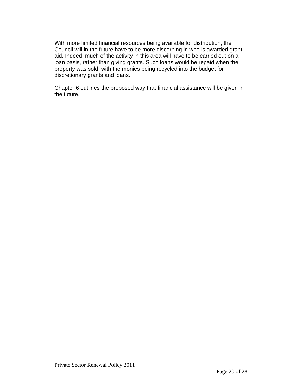With more limited financial resources being available for distribution, the Council will in the future have to be more discerning in who is awarded grant aid. Indeed, much of the activity in this area will have to be carried out on a loan basis, rather than giving grants. Such loans would be repaid when the property was sold, with the monies being recycled into the budget for discretionary grants and loans.

Chapter 6 outlines the proposed way that financial assistance will be given in the future.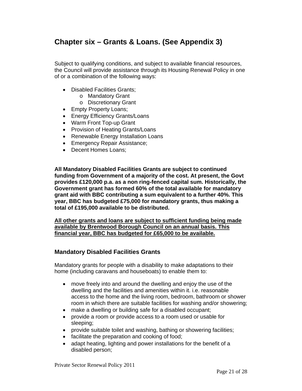# **Chapter six – Grants & Loans. (See Appendix 3)**

Subject to qualifying conditions, and subject to available financial resources, the Council will provide assistance through its Housing Renewal Policy in one of or a combination of the following ways:

- Disabled Facilities Grants;
	- o Mandatory Grant
	- o Discretionary Grant
- Empty Property Loans;
- Energy Efficiency Grants/Loans
- Warm Front Top-up Grant
- Provision of Heating Grants/Loans
- Renewable Energy Installation Loans
- Emergency Repair Assistance;
- Decent Homes Loans;

**All Mandatory Disabled Facilities Grants are subject to continued funding from Government of a majority of the cost. At present, the Govt provides £120,000 p.a. as a non ring-fenced capital sum. Historically, the Government grant has formed 60% of the total available for mandatory grant aid with BBC contributing a sum equivalent to a further 40%. This year, BBC has budgeted £75,000 for mandatory grants, thus making a total of £195,000 available to be distributed.** 

**All other grants and loans are subject to sufficient funding being made available by Brentwood Borough Council on an annual basis. This financial year, BBC has budgeted for £65,000 to be available.**

#### **Mandatory Disabled Facilities Grants**

Mandatory grants for people with a disability to make adaptations to their home (including caravans and houseboats) to enable them to:

- move freely into and around the dwelling and enjoy the use of the dwelling and the facilities and amenities within it. i.e. reasonable access to the home and the living room, bedroom, bathroom or shower room in which there are suitable facilities for washing and/or showering;
- make a dwelling or building safe for a disabled occupant;
- provide a room or provide access to a room used or usable for sleeping;
- provide suitable toilet and washing, bathing or showering facilities;
- facilitate the preparation and cooking of food;
- adapt heating, lighting and power installations for the benefit of a disabled person;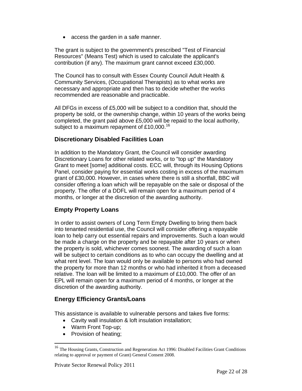• access the garden in a safe manner.

The grant is subject to the government's prescribed "Test of Financial Resources" (Means Test) which is used to calculate the applicant's contribution (if any). The maximum grant cannot exceed £30,000.

The Council has to consult with Essex County Council Adult Health & Community Services, (Occupational Therapists) as to what works are necessary and appropriate and then has to decide whether the works recommended are reasonable and practicable.

All DFGs in excess of £5,000 will be subject to a condition that, should the property be sold, or the ownership change, within 10 years of the works being completed, the grant paid above £5,000 will be repaid to the local authority, subject to a maximum repayment of £10,000.<sup>16</sup>

#### **Discretionary Disabled Facilities Loan**

In addition to the Mandatory Grant, the Council will consider awarding Discretionary Loans for other related works, or to "top up" the Mandatory Grant to meet [some] additional costs. ECC will, through its Housing Options Panel, consider paying for essential works costing in excess of the maximum grant of £30,000. However, in cases where there is still a shortfall, BBC will consider offering a loan which will be repayable on the sale or disposal of the property. The offer of a DDFL will remain open for a maximum period of 4 months, or longer at the discretion of the awarding authority.

#### **Empty Property Loans**

In order to assist owners of Long Term Empty Dwelling to bring them back into tenanted residential use, the Council will consider offering a repayable loan to help carry out essential repairs and improvements. Such a loan would be made a charge on the property and be repayable after 10 years or when the property is sold, whichever comes soonest. The awarding of such a loan will be subject to certain conditions as to who can occupy the dwelling and at what rent level. The loan would only be available to persons who had owned the property for more than 12 months or who had inherited it from a deceased relative. The loan will be limited to a maximum of £10,000. The offer of an EPL will remain open for a maximum period of 4 months, or longer at the discretion of the awarding authority.

#### **Energy Efficiency Grants/Loans**

This assistance is available to vulnerable persons and takes five forms:

- Cavity wall insulation & loft insulation installation;
- Warm Front Top-up;
- Provision of heating;

 $\overline{a}$ 

<sup>&</sup>lt;sup>16</sup> The Housing Grants, Construction and Regeneration Act 1996: Disabled Facilities Grant Conditions relating to approval or payment of Grant) General Consent 2008.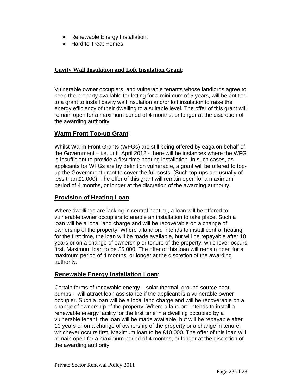- Renewable Energy Installation;
- Hard to Treat Homes.

#### **Cavity Wall Insulation and Loft Insulation Grant**:

Vulnerable owner occupiers, and vulnerable tenants whose landlords agree to keep the property available for letting for a minimum of 5 years, will be entitled to a grant to install cavity wall insulation and/or loft insulation to raise the energy efficiency of their dwelling to a suitable level. The offer of this grant will remain open for a maximum period of 4 months, or longer at the discretion of the awarding authority.

#### **Warm Front Top-up Grant**:

Whilst Warm Front Grants (WFGs) are still being offered by eaga on behalf of the Government – i.e. until April 2012 - there will be instances where the WFG is insufficient to provide a first-time heating installation. In such cases, as applicants for WFGs are by definition vulnerable, a grant will be offered to topup the Government grant to cover the full costs. (Such top-ups are usually of less than £1,000). The offer of this grant will remain open for a maximum period of 4 months, or longer at the discretion of the awarding authority.

#### **Provision of Heating Loan**:

Where dwellings are lacking in central heating, a loan will be offered to vulnerable owner occupiers to enable an installation to take place. Such a loan will be a local land charge and will be recoverable on a change of ownership of the property. Where a landlord intends to install central heating for the first time, the loan will be made available, but will be repayable after 10 years or on a change of ownership or tenure of the property, whichever occurs first. Maximum loan to be £5,000. The offer of this loan will remain open for a maximum period of 4 months, or longer at the discretion of the awarding authority.

#### **Renewable Energy Installation Loan**:

Certain forms of renewable energy – solar thermal, ground source heat pumps - will attract loan assistance if the applicant is a vulnerable owner occupier. Such a loan will be a local land charge and will be recoverable on a change of ownership of the property. Where a landlord intends to install a renewable energy facility for the first time in a dwelling occupied by a vulnerable tenant, the loan will be made available, but will be repayable after 10 years or on a change of ownership of the property or a change in tenure, whichever occurs first. Maximum loan to be £10,000. The offer of this loan will remain open for a maximum period of 4 months, or longer at the discretion of the awarding authority.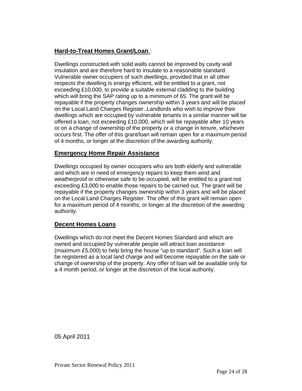#### **Hard-to-Treat Homes Grant/Loan**.:

Dwellings constructed with solid walls cannot be improved by cavity wall insulation and are therefore hard to insulate to a reasonable standard. Vulnerable owner occupiers of such dwellings, provided that in all other respects the dwelling is energy efficient, will be entitled to a grant, not exceeding £10,000, to provide a suitable external cladding to the building which will bring the SAP rating up to a minimum of 65. The grant will be repayable if the property changes ownership within 3 years and will be placed on the Local Land Charges Register..Landlords who wish to improve their dwellings which are occupied by vulnerable tenants in a similar manner will be offered a loan, not exceeding £10,000, which will be repayable after 10 years or on a change of ownership of the property or a change in tenure, whichever occurs first. The offer of this grant/loan will remain open for a maximum period of 4 months, or longer at the discretion of the awarding authority.

#### **Emergency Home Repair Assistance**

Dwellings occupied by owner occupiers who are both elderly and vulnerable and which are in need of emergency repairs to keep them wind and weatherproof or otherwise safe to be occupied, will be entitled to a grant not exceeding £3,000 to enable those repairs to be carried out. The grant will be repayable if the property changes ownership within 3 years and will be placed on the Local Land Charges Register. The offer of this grant will remain open for a maximum period of 4 months, or longer at the discretion of the awarding authority.

#### **Decent Homes Loans**

Dwellings which do not meet the Decent Homes Standard and which are owned and occupied by vulnerable people will attract loan assistance (maximum £5,000) to help bring the house "up to standard". Such a loan will be registered as a local land charge and will become repayable on the sale or change of ownership of the property. Any offer of loan will be available only for a 4 month period, or longer at the discretion of the local authority.

05 April 2011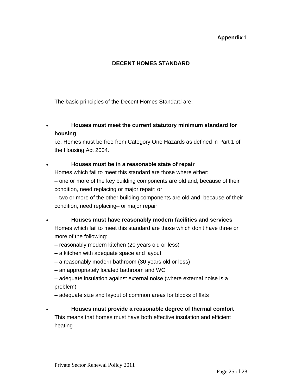#### **Appendix 1**

#### **DECENT HOMES STANDARD**

The basic principles of the Decent Homes Standard are:

#### • **Houses must meet the current statutory minimum standard for housing**

i.e. Homes must be free from Category One Hazards as defined in Part 1 of the Housing Act 2004.

#### • **Houses must be in a reasonable state of repair**

Homes which fail to meet this standard are those where either:

– one or more of the key building components are old and, because of their condition, need replacing or major repair; or

– two or more of the other building components are old and, because of their condition, need replacing– or major repair

#### • **Houses must have reasonably modern facilities and services**

Homes which fail to meet this standard are those which don't have three or more of the following:

- reasonably modern kitchen (20 years old or less)
- a kitchen with adequate space and layout
- a reasonably modern bathroom (30 years old or less)
- an appropriately located bathroom and WC
- adequate insulation against external noise (where external noise is a problem)
- adequate size and layout of common areas for blocks of flats

#### • **Houses must provide a reasonable degree of thermal comfort**

This means that homes must have both effective insulation and efficient heating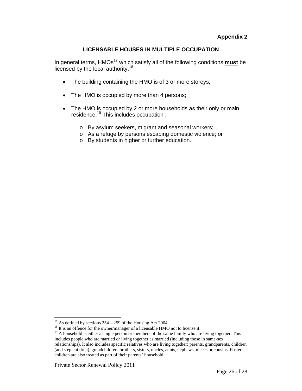#### **LICENSABLE HOUSES IN MULTIPLE OCCUPATION**

In general terms, HMOs<sup>17</sup> which satisfy all of the following conditions **must** be licensed by the local authority.<sup>18</sup>

- The building containing the HMO is of 3 or more storeys;
- The HMO is occupied by more than 4 persons;
- The HMO is occupied by 2 or more households as their only or main residence.19 This includes occupation :
	- o By asylum seekers, migrant and seasonal workers;
	- o As a refuge by persons escaping domestic violence; or
	- o By students in higher or further education.

 $\overline{a}$ 

 $17$  As defined by sections  $254 - 259$  of the Housing Act 2004.

<sup>&</sup>lt;sup>18</sup> It is an offence for the owner/manager of a licensable HMO not to license it.

<sup>&</sup>lt;sup>19</sup> A household is either a single person or members of the same family who are living together. This includes people who are married or living together as married (including those in same-sex relationships). It also includes specific relatives who are living together: parents, grandparents, children (and step children), grandchildren, brothers, sisters, uncles, aunts, nephews, nieces or cousins. Foster children are also treated as part of their parents' household.